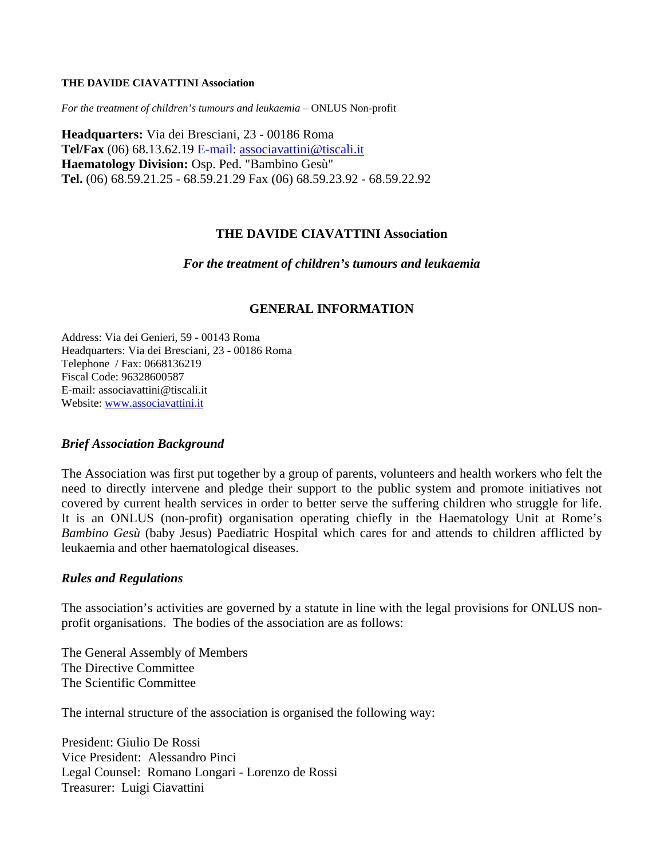#### **THE DAVIDE CIAVATTINI Association**

*For the treatment of children's tumours and leukaemia* – ONLUS Non-profit

**Headquarters:** Via dei Bresciani, 23 - 00186 Roma **Tel/Fax** (06) 68.13.62.19 E-mail: [associavattini@tiscali.it](mailto:associavattini@tiscali.it) **Haematology Division:** Osp. Ped. "Bambino Gesù" **Tel.** (06) 68.59.21.25 - 68.59.21.29 Fax (06) 68.59.23.92 - 68.59.22.92

## **THE DAVIDE CIAVATTINI Association**

*For the treatment of children's tumours and leukaemia* 

### **GENERAL INFORMATION**

Address: Via dei Genieri, 59 - 00143 Roma Headquarters: Via dei Bresciani, 23 - 00186 Roma Telephone / Fax: 0668136219 Fiscal Code: 96328600587 E-mail: associavattini@tiscali.it Website: [www.associavattini.it](http://www.associavattini.it/)

### *Brief Association Background*

The Association was first put together by a group of parents, volunteers and health workers who felt the need to directly intervene and pledge their support to the public system and promote initiatives not covered by current health services in order to better serve the suffering children who struggle for life. It is an ONLUS (non-profit) organisation operating chiefly in the Haematology Unit at Rome's *Bambino Gesù* (baby Jesus) Paediatric Hospital which cares for and attends to children afflicted by leukaemia and other haematological diseases.

### *Rules and Regulations*

The association's activities are governed by a statute in line with the legal provisions for ONLUS nonprofit organisations. The bodies of the association are as follows:

The General Assembly of Members The Directive Committee The Scientific Committee

The internal structure of the association is organised the following way:

President: Giulio De Rossi Vice President: Alessandro Pinci Legal Counsel: Romano Longari - Lorenzo de Rossi Treasurer: Luigi Ciavattini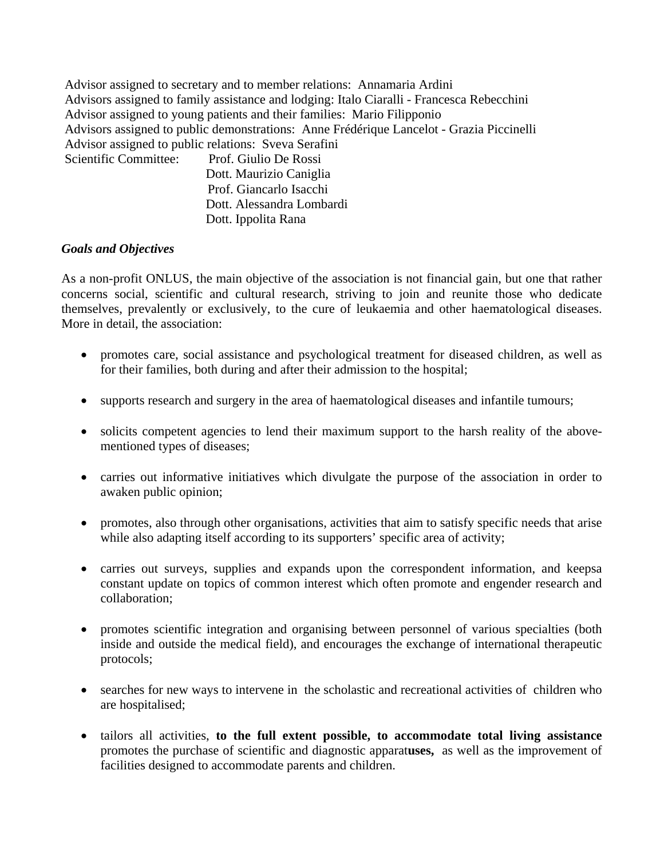Advisor assigned to secretary and to member relations: Annamaria Ardini Advisors assigned to family assistance and lodging: Italo Ciaralli - Francesca Rebecchini Advisor assigned to young patients and their families: Mario Filipponio Advisors assigned to public demonstrations: Anne Frédérique Lancelot - Grazia Piccinelli Advisor assigned to public relations: Sveva Serafini Scientific Committee: Prof. Giulio De Rossi Dott. Maurizio Caniglia

 Prof. Giancarlo Isacchi Dott. Alessandra Lombardi Dott. Ippolita Rana

# *Goals and Objectives*

As a non-profit ONLUS, the main objective of the association is not financial gain, but one that rather concerns social, scientific and cultural research, striving to join and reunite those who dedicate themselves, prevalently or exclusively, to the cure of leukaemia and other haematological diseases. More in detail, the association:

- promotes care, social assistance and psychological treatment for diseased children, as well as for their families, both during and after their admission to the hospital;
- supports research and surgery in the area of haematological diseases and infantile tumours;
- solicits competent agencies to lend their maximum support to the harsh reality of the abovementioned types of diseases;
- carries out informative initiatives which divulgate the purpose of the association in order to awaken public opinion;
- promotes, also through other organisations, activities that aim to satisfy specific needs that arise while also adapting itself according to its supporters' specific area of activity;
- carries out surveys, supplies and expands upon the correspondent information, and keepsa constant update on topics of common interest which often promote and engender research and collaboration;
- promotes scientific integration and organising between personnel of various specialties (both inside and outside the medical field), and encourages the exchange of international therapeutic protocols;
- searches for new ways to intervene in the scholastic and recreational activities of children who are hospitalised;
- tailors all activities, **to the full extent possible, to accommodate total living assistance**  promotes the purchase of scientific and diagnostic apparat**uses,** as well as the improvement of facilities designed to accommodate parents and children.